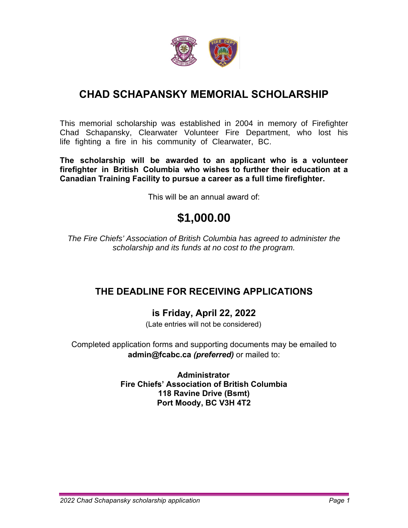

### **CHAD SCHAPANSKY MEMORIAL SCHOLARSHIP**

This memorial scholarship was established in 2004 in memory of Firefighter Chad Schapansky, Clearwater Volunteer Fire Department, who lost his life fighting a fire in his community of Clearwater, BC.

**The scholarship will be awarded to an applicant who is a volunteer firefighter in British Columbia who wishes to further their education at a Canadian Training Facility to pursue a career as a full time firefighter.** 

This will be an annual award of:

# **\$1,000.00**

*The Fire Chiefs' Association of British Columbia has agreed to administer the scholarship and its funds at no cost to the program.* 

#### **THE DEADLINE FOR RECEIVING APPLICATIONS**

#### **is Friday, April 22, 2022**

(Late entries will not be considered)

Completed application forms and supporting documents may be emailed to **admin@fcabc.ca** *(preferred)* or mailed to:

> **Administrator Fire Chiefs' Association of British Columbia 118 Ravine Drive (Bsmt) Port Moody, BC V3H 4T2**